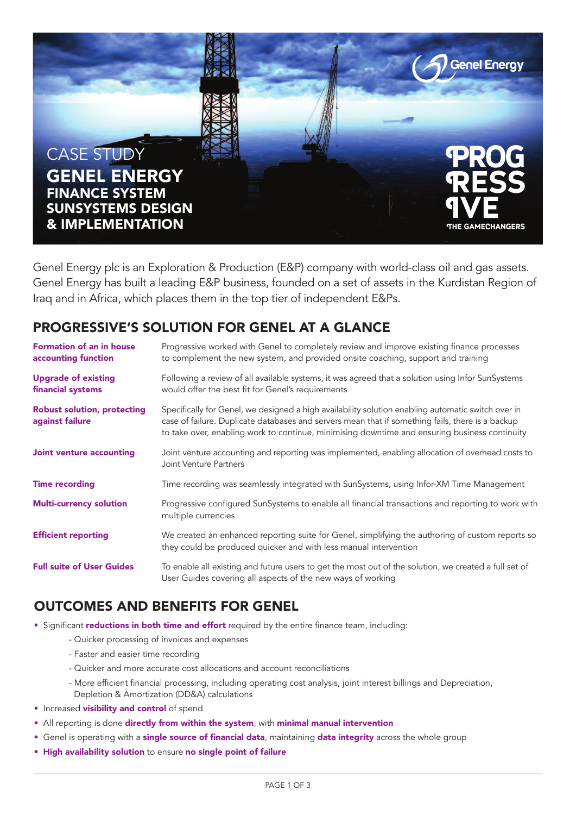

Genel Energy plc is an Exploration & Production (E&P) company with world-class oil and gas assets. Genel Energy has built a leading E&P business, founded on a set of assets in the Kurdistan Region of Iraq and in Africa, which places them in the top tier of independent E&Ps.

#### **PROGRESSIVE'S SOLUTION FOR GENEL AT A GLANCE**

| <b>Formation of an in house</b><br>accounting function | Progressive worked with Genel to completely review and improve existing finance processes<br>to complement the new system, and provided onsite coaching, support and training                                                                                                                           |
|--------------------------------------------------------|---------------------------------------------------------------------------------------------------------------------------------------------------------------------------------------------------------------------------------------------------------------------------------------------------------|
| <b>Upgrade of existing</b><br>financial systems        | Following a review of all available systems, it was agreed that a solution using Infor SunSystems<br>would offer the best fit for Genel's requirements                                                                                                                                                  |
| <b>Robust solution, protecting</b><br>against failure  | Specifically for Genel, we designed a high availability solution enabling automatic switch over in<br>case of failure. Duplicate databases and servers mean that if something fails, there is a backup<br>to take over, enabling work to continue, minimising downtime and ensuring business continuity |
| <b>Joint venture accounting</b>                        | Joint venture accounting and reporting was implemented, enabling allocation of overhead costs to<br>Joint Venture Partners                                                                                                                                                                              |
| <b>Time recording</b>                                  | Time recording was seamlessly integrated with SunSystems, using Infor-XM Time Management                                                                                                                                                                                                                |
| <b>Multi-currency solution</b>                         | Progressive configured SunSystems to enable all financial transactions and reporting to work with<br>multiple currencies                                                                                                                                                                                |
| <b>Efficient reporting</b>                             | We created an enhanced reporting suite for Genel, simplifying the authoring of custom reports so<br>they could be produced quicker and with less manual intervention                                                                                                                                    |
| <b>Full suite of User Guides</b>                       | To enable all existing and future users to get the most out of the solution, we created a full set of<br>User Guides covering all aspects of the new ways of working                                                                                                                                    |

#### **OUTCOMES AND BENEFITS FOR GENEL**

- Significant **reductions in both time and effort** required by the entire finance team, including:
	- Quicker processing of invoices and expenses
		- Faster and easier time recording
		- Quicker and more accurate cost allocations and account reconciliations
		- More efficient financial processing, including operating cost analysis, joint interest billings and Depreciation, Depletion & Amortization (DD&A) calculations
- Increased **visibility and control** of spend
- All reporting is done **directly from within the system**, with **minimal manual intervention**
- Genel is operating with a **single source of financial data**, maintaining **data integrity** across the whole group
- **High availability solution** to ensure **no single point of failure**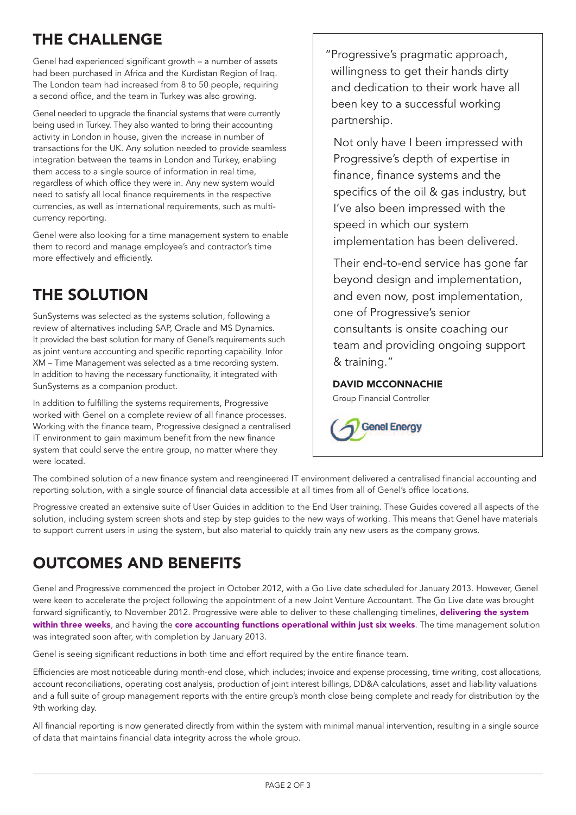# **THE CHALLENGE**

Genel had experienced significant growth – a number of assets had been purchased in Africa and the Kurdistan Region of Iraq. The London team had increased from 8 to 50 people, requiring a second office, and the team in Turkey was also growing.

Genel needed to upgrade the financial systems that were currently being used in Turkey. They also wanted to bring their accounting activity in London in house, given the increase in number of transactions for the UK. Any solution needed to provide seamless integration between the teams in London and Turkey, enabling them access to a single source of information in real time, regardless of which office they were in. Any new system would need to satisfy all local finance requirements in the respective currencies, as well as international requirements, such as multicurrency reporting.

Genel were also looking for a time management system to enable them to record and manage employee's and contractor's time more effectively and efficiently.

## **THE SOLUTION**

SunSystems was selected as the systems solution, following a review of alternatives including SAP, Oracle and MS Dynamics. It provided the best solution for many of Genel's requirements such as joint venture accounting and specific reporting capability. Infor XM – Time Management was selected as a time recording system. In addition to having the necessary functionality, it integrated with SunSystems as a companion product.

In addition to fulfilling the systems requirements, Progressive worked with Genel on a complete review of all finance processes. Working with the finance team, Progressive designed a centralised IT environment to gain maximum benefit from the new finance system that could serve the entire group, no matter where they were located.

"Progressive's pragmatic approach, willingness to get their hands dirty and dedication to their work have all been key to a successful working partnership.

 Not only have I been impressed with Progressive's depth of expertise in finance, finance systems and the specifics of the oil & gas industry, but I've also been impressed with the speed in which our system implementation has been delivered.

 Their end-to-end service has gone far beyond design and implementation, and even now, post implementation, one of Progressive's senior consultants is onsite coaching our team and providing ongoing support & training."

#### **DAVID MCCONNACHIE**

Group Financial Controller

**Genel Energy** 

The combined solution of a new finance system and reengineered IT environment delivered a centralised financial accounting and reporting solution, with a single source of financial data accessible at all times from all of Genel's office locations.

Progressive created an extensive suite of User Guides in addition to the End User training. These Guides covered all aspects of the solution, including system screen shots and step by step guides to the new ways of working. This means that Genel have materials to support current users in using the system, but also material to quickly train any new users as the company grows.

## **OUTCOMES AND BENEFITS**

Genel and Progressive commenced the project in October 2012, with a Go Live date scheduled for January 2013. However, Genel were keen to accelerate the project following the appointment of a new Joint Venture Accountant. The Go Live date was brought forward significantly, to November 2012. Progressive were able to deliver to these challenging timelines, **delivering the system within three weeks**, and having the **core accounting functions operational within just six weeks**. The time management solution was integrated soon after, with completion by January 2013.

Genel is seeing significant reductions in both time and effort required by the entire finance team.

Efficiencies are most noticeable during month-end close, which includes; invoice and expense processing, time writing, cost allocations, account reconciliations, operating cost analysis, production of joint interest billings, DD&A calculations, asset and liability valuations and a full suite of group management reports with the entire group's month close being complete and ready for distribution by the 9th working day.

All financial reporting is now generated directly from within the system with minimal manual intervention, resulting in a single source of data that maintains financial data integrity across the whole group.